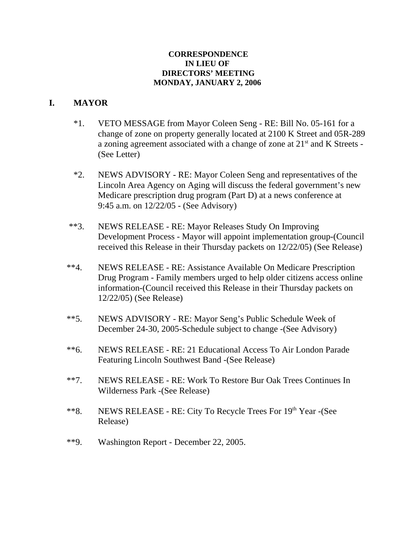#### **CORRESPONDENCE IN LIEU OF DIRECTORS' MEETING MONDAY, JANUARY 2, 2006**

# **I. MAYOR**

- \*1. VETO MESSAGE from Mayor Coleen Seng RE: Bill No. 05-161 for a change of zone on property generally located at 2100 K Street and 05R-289 a zoning agreement associated with a change of zone at  $21<sup>st</sup>$  and K Streets -(See Letter)
- \*2. NEWS ADVISORY RE: Mayor Coleen Seng and representatives of the Lincoln Area Agency on Aging will discuss the federal government's new Medicare prescription drug program (Part D) at a news conference at 9:45 a.m. on 12/22/05 - (See Advisory)
- \*\*3. NEWS RELEASE RE: Mayor Releases Study On Improving Development Process - Mayor will appoint implementation group-(Council received this Release in their Thursday packets on 12/22/05) (See Release)
- \*\*4. NEWS RELEASE RE: Assistance Available On Medicare Prescription Drug Program - Family members urged to help older citizens access online information-(Council received this Release in their Thursday packets on 12/22/05) (See Release)
- \*\*5. NEWS ADVISORY RE: Mayor Seng's Public Schedule Week of December 24-30, 2005-Schedule subject to change -(See Advisory)
- \*\*6. NEWS RELEASE RE: 21 Educational Access To Air London Parade Featuring Lincoln Southwest Band -(See Release)
- \*\*7. NEWS RELEASE RE: Work To Restore Bur Oak Trees Continues In Wilderness Park -(See Release)
- \*\*8. NEWS RELEASE RE: City To Recycle Trees For 19th Year -(See Release)
- \*\*9. Washington Report December 22, 2005.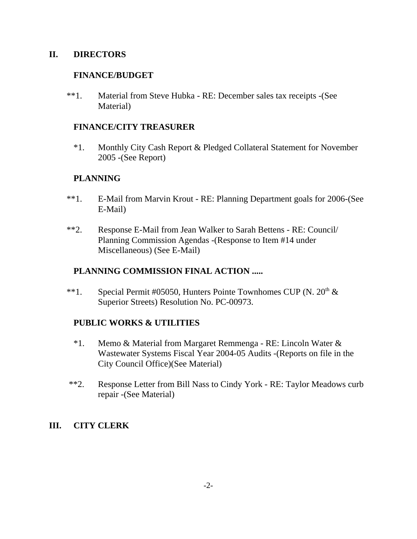#### **II. DIRECTORS**

### **FINANCE/BUDGET**

\*\*1. Material from Steve Hubka - RE: December sales tax receipts -(See Material)

### **FINANCE/CITY TREASURER**

\*1. Monthly City Cash Report & Pledged Collateral Statement for November 2005 -(See Report)

# **PLANNING**

- \*\*1. E-Mail from Marvin Krout RE: Planning Department goals for 2006-(See E-Mail)
- \*\*2. Response E-Mail from Jean Walker to Sarah Bettens RE: Council/ Planning Commission Agendas -(Response to Item #14 under Miscellaneous) (See E-Mail)

# **PLANNING COMMISSION FINAL ACTION .....**

\*\*1. Special Permit #05050, Hunters Pointe Townhomes CUP (N. 20<sup>th</sup> & Superior Streets) Resolution No. PC-00973.

# **PUBLIC WORKS & UTILITIES**

- \*1. Memo & Material from Margaret Remmenga RE: Lincoln Water & Wastewater Systems Fiscal Year 2004-05 Audits -(Reports on file in the City Council Office)(See Material)
- \*\*2. Response Letter from Bill Nass to Cindy York RE: Taylor Meadows curb repair -(See Material)

# **III. CITY CLERK**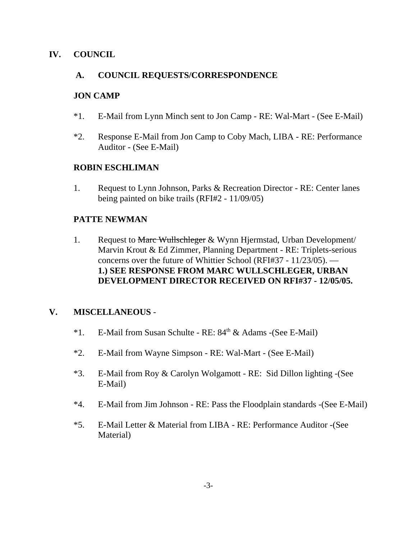# **IV. COUNCIL**

### **A. COUNCIL REQUESTS/CORRESPONDENCE**

#### **JON CAMP**

- \*1. E-Mail from Lynn Minch sent to Jon Camp RE: Wal-Mart (See E-Mail)
- \*2. Response E-Mail from Jon Camp to Coby Mach, LIBA RE: Performance Auditor - (See E-Mail)

#### **ROBIN ESCHLIMAN**

1. Request to Lynn Johnson, Parks & Recreation Director - RE: Center lanes being painted on bike trails (RFI#2 - 11/09/05)

#### **PATTE NEWMAN**

1. Request to Marc Wullschleger & Wynn Hjermstad, Urban Development/ Marvin Krout & Ed Zimmer, Planning Department - RE: Triplets-serious concerns over the future of Whittier School (RFI#37 - 11/23/05). — **1.) SEE RESPONSE FROM MARC WULLSCHLEGER, URBAN DEVELOPMENT DIRECTOR RECEIVED ON RFI#37 - 12/05/05.** 

# **V. MISCELLANEOUS** -

- \*1. E-Mail from Susan Schulte RE: 84<sup>th</sup> & Adams -(See E-Mail)
- \*2. E-Mail from Wayne Simpson RE: Wal-Mart (See E-Mail)
- \*3. E-Mail from Roy & Carolyn Wolgamott RE: Sid Dillon lighting -(See E-Mail)
- \*4. E-Mail from Jim Johnson RE: Pass the Floodplain standards -(See E-Mail)
- \*5. E-Mail Letter & Material from LIBA RE: Performance Auditor -(See Material)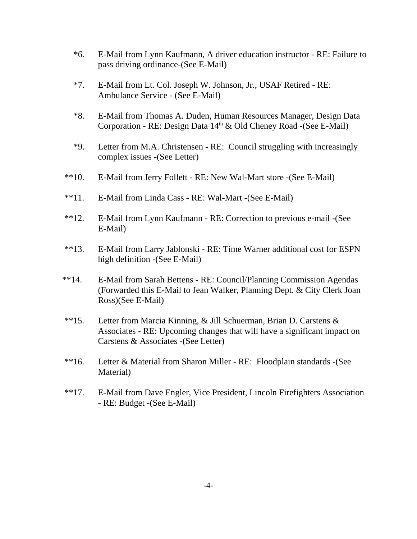- \*6. E-Mail from Lynn Kaufmann, A driver education instructor RE: Failure to pass driving ordinance-(See E-Mail)
- \*7. E-Mail from Lt. Col. Joseph W. Johnson, Jr., USAF Retired RE: Ambulance Service - (See E-Mail)
- \*8. E-Mail from Thomas A. Duden, Human Resources Manager, Design Data Corporation - RE: Design Data 14<sup>th</sup> & Old Cheney Road -(See E-Mail)
- \*9. Letter from M.A. Christensen RE: Council struggling with increasingly complex issues -(See Letter)
- \*\*10. E-Mail from Jerry Follett RE: New Wal-Mart store -(See E-Mail)
- \*\*11. E-Mail from Linda Cass RE: Wal-Mart -(See E-Mail)
- \*\*12. E-Mail from Lynn Kaufmann RE: Correction to previous e-mail -(See E-Mail)
- \*\*13. E-Mail from Larry Jablonski RE: Time Warner additional cost for ESPN high definition -(See E-Mail)
- \*\*14. E-Mail from Sarah Bettens RE: Council/Planning Commission Agendas (Forwarded this E-Mail to Jean Walker, Planning Dept. & City Clerk Joan Ross)(See E-Mail)
- \*\*15. Letter from Marcia Kinning, & Jill Schuerman, Brian D. Carstens & Associates - RE: Upcoming changes that will have a significant impact on Carstens & Associates -(See Letter)
- \*\*16. Letter & Material from Sharon Miller RE: Floodplain standards -(See Material)
- \*\*17. E-Mail from Dave Engler, Vice President, Lincoln Firefighters Association - RE: Budget -(See E-Mail)